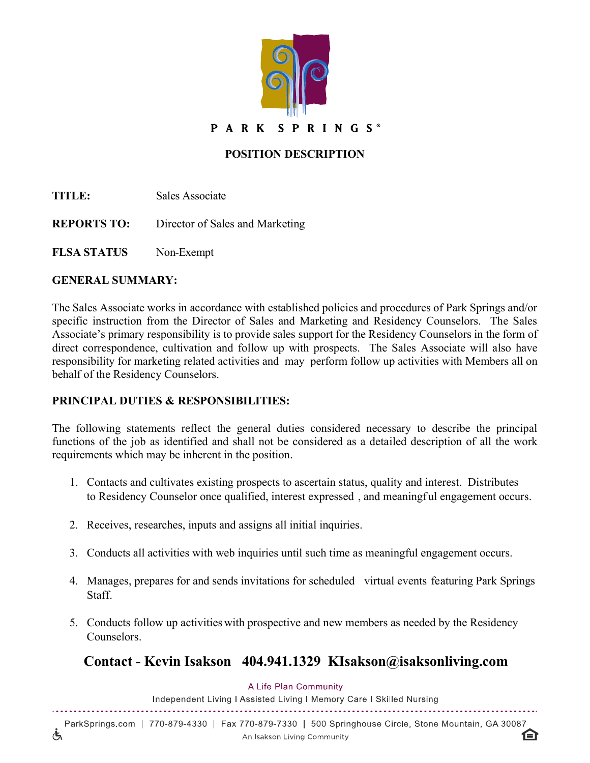

## **POSITION DESCRIPTION**

**TITLE:** Sales Associate

**REPORTS TO:** Director of Sales and Marketing

**FLSA STATUS** Non-Exempt

### **GENERAL SUMMARY:**

 $\overline{\mathcal{L}}$ 

The Sales Associate works in accordance with established policies and procedures of Park Springs and/or specific instruction from the Director of Sales and Marketing and Residency Counselors. The Sales Associate's primary responsibility is to provide sales support for the Residency Counselors in the form of direct correspondence, cultivation and follow up with prospects. The Sales Associate will also have responsibility for marketing related activities and may perform follow up activities with Members all on behalf of the Residency Counselors.

## **PRINCIPAL DUTIES & RESPONSIBILITIES:**

The following statements reflect the general duties considered necessary to describe the principal functions of the job as identified and shall not be considered as a detailed description of all the work requirements which may be inherent in the position.

- 1. Contacts and cultivates existing prospects to ascertain status, quality and interest. Distributes to Residency Counselor once qualified, interest expressed , and meaningf ul engagement occurs.
- 2. Receives, researches, inputs and assigns all initial inquiries.
- 3. Conducts all activities with web inquiries until such time as meaningful engagement occurs.
- 4. Manages, prepares for and sends invitations for scheduled virtual events featuring Park Springs **Staff**
- 5. Conducts follow up activities with prospective and new members as needed by the Residency Counselors.

# **Contact - Kevin Isakson 404.941.1329 KIsakson@isaksonliving.com**

#### A Life Plan Community

Independent Living I Assisted Living I Memory Care I Skilled Nursing 

ParkSprings.com | 770-879-4330 | Fax 770-879-7330 | 500 Springhouse Circle, Stone Mountain, GA 30087 An Isakson Living Community

臼